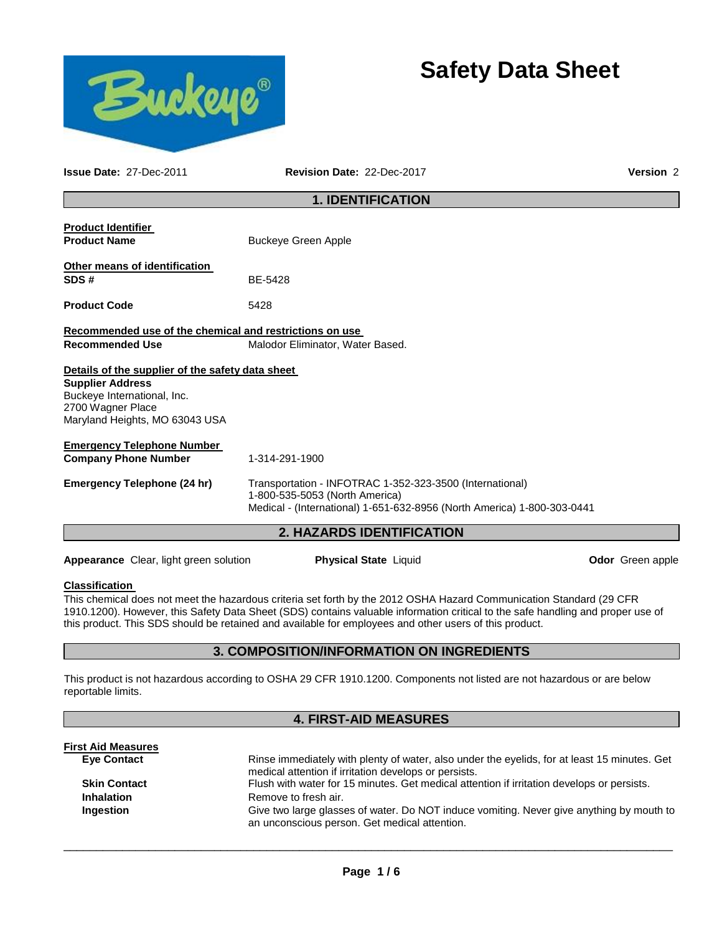



**Issue Date:** 27-Dec-2011 **Revision Date:** 22-Dec-2017 **Version** 2

# **1. IDENTIFICATION**

|                                                                                                                                                                   | <b>2. HAZARDS IDENTIFICATION</b>                                                                                                                                      |  |  |  |
|-------------------------------------------------------------------------------------------------------------------------------------------------------------------|-----------------------------------------------------------------------------------------------------------------------------------------------------------------------|--|--|--|
| Emergency Telephone (24 hr)                                                                                                                                       | Transportation - INFOTRAC 1-352-323-3500 (International)<br>1-800-535-5053 (North America)<br>Medical - (International) 1-651-632-8956 (North America) 1-800-303-0441 |  |  |  |
| <b>Emergency Telephone Number</b><br><b>Company Phone Number</b>                                                                                                  | 1-314-291-1900                                                                                                                                                        |  |  |  |
| Details of the supplier of the safety data sheet<br><b>Supplier Address</b><br>Buckeye International, Inc.<br>2700 Wagner Place<br>Maryland Heights, MO 63043 USA |                                                                                                                                                                       |  |  |  |
| Recommended use of the chemical and restrictions on use<br><b>Recommended Use</b>                                                                                 | Malodor Eliminator, Water Based.                                                                                                                                      |  |  |  |
| <b>Product Code</b>                                                                                                                                               | 5428                                                                                                                                                                  |  |  |  |
| Other means of identification<br>SDS#                                                                                                                             | BE-5428                                                                                                                                                               |  |  |  |
| <b>Product Identifier</b><br><b>Product Name</b>                                                                                                                  | <b>Buckeye Green Apple</b>                                                                                                                                            |  |  |  |
|                                                                                                                                                                   |                                                                                                                                                                       |  |  |  |

**Appearance** Clear, light green solution **Physical State** Liquid **Constant Clear Odor** Green apple

# **Classification**

**First Aid Measures**

This chemical does not meet the hazardous criteria set forth by the 2012 OSHA Hazard Communication Standard (29 CFR 1910.1200). However, this Safety Data Sheet (SDS) contains valuable information critical to the safe handling and proper use of this product. This SDS should be retained and available for employees and other users of this product.

# **3. COMPOSITION/INFORMATION ON INGREDIENTS**

This product is not hazardous according to OSHA 29 CFR 1910.1200. Components not listed are not hazardous or are below reportable limits.

# **4. FIRST-AID MEASURES**

| First Aid Measures  |                                                                                                                                           |
|---------------------|-------------------------------------------------------------------------------------------------------------------------------------------|
| <b>Eve Contact</b>  | Rinse immediately with plenty of water, also under the eyelids, for at least 15 minutes. Get                                              |
|                     | medical attention if irritation develops or persists.                                                                                     |
| <b>Skin Contact</b> | Flush with water for 15 minutes. Get medical attention if irritation develops or persists.                                                |
| <b>Inhalation</b>   | Remove to fresh air.                                                                                                                      |
| Ingestion           | Give two large glasses of water. Do NOT induce vomiting. Never give anything by mouth to<br>an unconscious person. Get medical attention. |
|                     |                                                                                                                                           |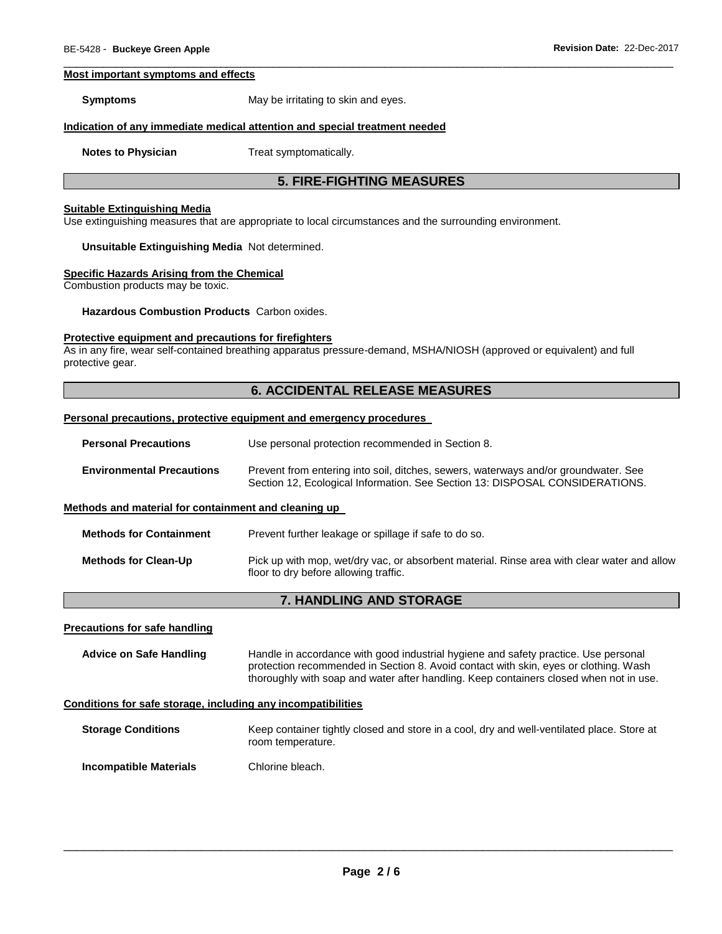#### **Most important symptoms and effects**

**Symptoms May be irritating to skin and eyes.** 

#### **Indication of any immediate medical attention and special treatment needed**

**Notes to Physician**  Treat symptomatically.

# **5. FIRE-FIGHTING MEASURES**

\_\_\_\_\_\_\_\_\_\_\_\_\_\_\_\_\_\_\_\_\_\_\_\_\_\_\_\_\_\_\_\_\_\_\_\_\_\_\_\_\_\_\_\_\_\_\_\_\_\_\_\_\_\_\_\_\_\_\_\_\_\_\_\_\_\_\_\_\_\_\_\_\_\_\_\_\_\_\_\_\_\_\_\_\_\_\_\_\_\_\_\_\_

#### **Suitable Extinguishing Media**

Use extinguishing measures that are appropriate to local circumstances and the surrounding environment.

#### **Unsuitable Extinguishing Media** Not determined.

#### **Specific Hazards Arising from the Chemical**

Combustion products may be toxic.

**Hazardous Combustion Products** Carbon oxides.

## **Protective equipment and precautions for firefighters**

As in any fire, wear self-contained breathing apparatus pressure-demand, MSHA/NIOSH (approved or equivalent) and full protective gear.

## **6. ACCIDENTAL RELEASE MEASURES**

#### **Personal precautions, protective equipment and emergency procedures**

| <b>Personal Precautions</b> | Use personal protection recommended in Section 8. |
|-----------------------------|---------------------------------------------------|
|-----------------------------|---------------------------------------------------|

**Methods for Containment** Prevent further leakage or spillage if safe to do so.

| <b>Environmental Precautions</b> | Prevent from entering into soil, ditches, sewers, waterways and/or groundwater. See |
|----------------------------------|-------------------------------------------------------------------------------------|
|                                  | Section 12, Ecological Information. See Section 13: DISPOSAL CONSIDERATIONS.        |

#### **Methods and material for containment and cleaning up**

| <b>Methods for Clean-Up</b> | Pick up with mop, wet/dry vac, or absorbent material. Rinse area with clear water and allow<br>floor to dry before allowing traffic. |
|-----------------------------|--------------------------------------------------------------------------------------------------------------------------------------|

# **7. HANDLING AND STORAGE**

#### **Precautions for safe handling**

**Advice on Safe Handling** Handle in accordance with good industrial hygiene and safety practice. Use personal protection recommended in Section 8. Avoid contact with skin, eyes or clothing. Wash thoroughly with soap and water after handling. Keep containers closed when not in use.

#### **Conditions for safe storage, including any incompatibilities**

**Storage Conditions Keep container tightly closed and store in a cool, dry and well-ventilated place. Store at** room temperature.

**Incompatible Materials Chlorine bleach.**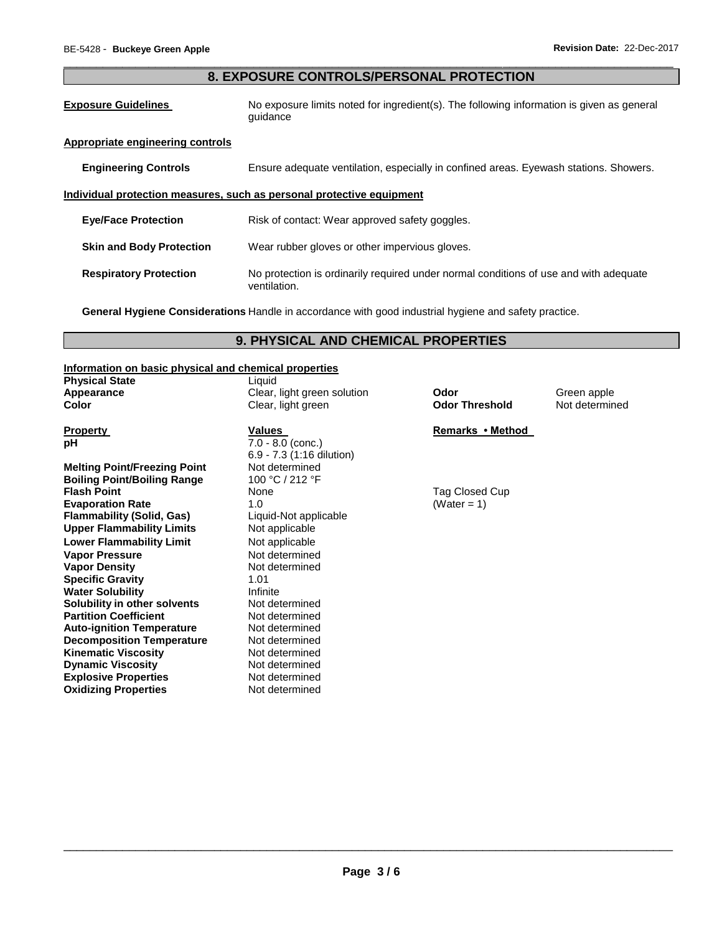# \_\_\_\_\_\_\_\_\_\_\_\_\_\_\_\_\_\_\_\_\_\_\_\_\_\_\_\_\_\_\_\_\_\_\_\_\_\_\_\_\_\_\_\_\_\_\_\_\_\_\_\_\_\_\_\_\_\_\_\_\_\_\_\_\_\_\_\_\_\_\_\_\_\_\_\_\_\_\_\_\_\_\_\_\_\_\_\_\_\_\_\_\_ **8. EXPOSURE CONTROLS/PERSONAL PROTECTION**

**Exposure Guidelines** No exposure limits noted for ingredient(s). The following information is given as general guidance

## **Appropriate engineering controls**

**Engineering Controls** Ensure adequate ventilation, especially in confined areas. Eyewash stations. Showers.

## **Individual protection measures, such as personal protective equipment**

| <b>Eye/Face Protection</b>      | Risk of contact: Wear approved safety goggles.                                                        |
|---------------------------------|-------------------------------------------------------------------------------------------------------|
| <b>Skin and Body Protection</b> | Wear rubber gloves or other impervious gloves.                                                        |
| <b>Respiratory Protection</b>   | No protection is ordinarily required under normal conditions of use and with adequate<br>ventilation. |

**General Hygiene Considerations** Handle in accordance with good industrial hygiene and safety practice.

# **9. PHYSICAL AND CHEMICAL PROPERTIES**

### **Information on basic physical and chemical properties**

| <b>Physical State</b>               | Liquid                      |                       |                |
|-------------------------------------|-----------------------------|-----------------------|----------------|
| Appearance                          | Clear, light green solution | Odor                  | Green apple    |
| <b>Color</b>                        | Clear, light green          | <b>Odor Threshold</b> | Not determined |
|                                     |                             |                       |                |
| <b>Property</b>                     | <b>Values</b>               | Remarks • Method      |                |
| рH                                  | $7.0 - 8.0$ (conc.)         |                       |                |
|                                     | 6.9 - 7.3 (1:16 dilution)   |                       |                |
| <b>Melting Point/Freezing Point</b> | Not determined              |                       |                |
| <b>Boiling Point/Boiling Range</b>  | 100 °C / 212 °F             |                       |                |
| <b>Flash Point</b>                  | None                        | Tag Closed Cup        |                |
| <b>Evaporation Rate</b>             | 1.0                         | (Water = 1)           |                |
| <b>Flammability (Solid, Gas)</b>    | Liquid-Not applicable       |                       |                |
| <b>Upper Flammability Limits</b>    | Not applicable              |                       |                |
| <b>Lower Flammability Limit</b>     | Not applicable              |                       |                |
| <b>Vapor Pressure</b>               | Not determined              |                       |                |
| <b>Vapor Density</b>                | Not determined              |                       |                |
| <b>Specific Gravity</b>             | 1.01                        |                       |                |
| <b>Water Solubility</b>             | Infinite                    |                       |                |
| Solubility in other solvents        | Not determined              |                       |                |
| <b>Partition Coefficient</b>        | Not determined              |                       |                |
| <b>Auto-ignition Temperature</b>    | Not determined              |                       |                |
| <b>Decomposition Temperature</b>    | Not determined              |                       |                |
| <b>Kinematic Viscosity</b>          | Not determined              |                       |                |
| <b>Dynamic Viscosity</b>            | Not determined              |                       |                |
| <b>Explosive Properties</b>         | Not determined              |                       |                |
| <b>Oxidizing Properties</b>         | Not determined              |                       |                |
|                                     |                             |                       |                |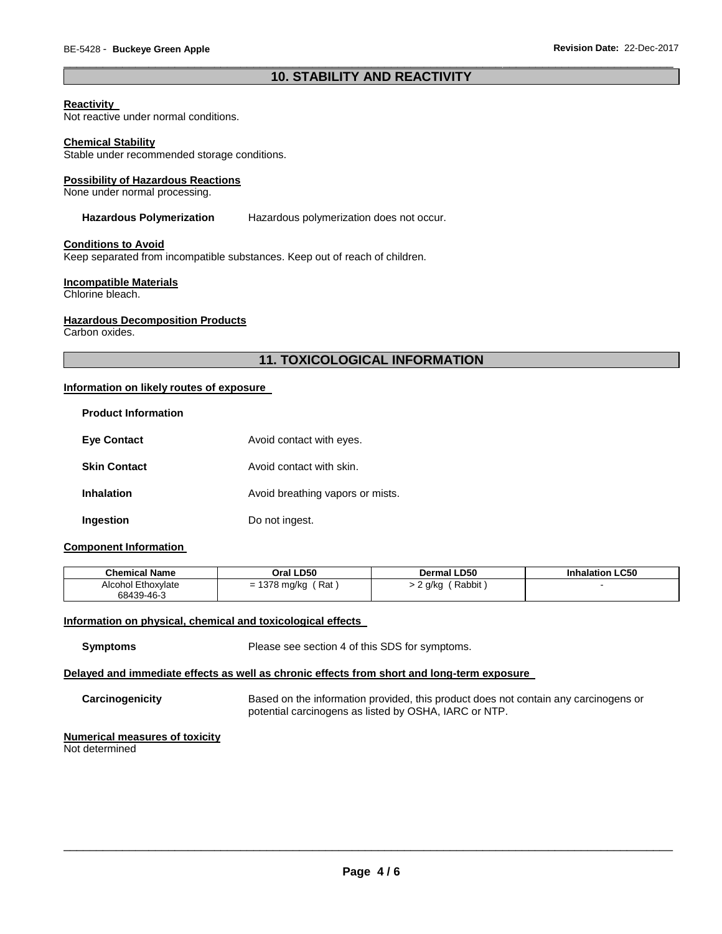# \_\_\_\_\_\_\_\_\_\_\_\_\_\_\_\_\_\_\_\_\_\_\_\_\_\_\_\_\_\_\_\_\_\_\_\_\_\_\_\_\_\_\_\_\_\_\_\_\_\_\_\_\_\_\_\_\_\_\_\_\_\_\_\_\_\_\_\_\_\_\_\_\_\_\_\_\_\_\_\_\_\_\_\_\_\_\_\_\_\_\_\_\_ **10. STABILITY AND REACTIVITY**

## **Reactivity**

Not reactive under normal conditions.

#### **Chemical Stability**

Stable under recommended storage conditions.

#### **Possibility of Hazardous Reactions**

None under normal processing.

## **Hazardous Polymerization** Hazardous polymerization does not occur.

#### **Conditions to Avoid**

Keep separated from incompatible substances. Keep out of reach of children.

#### **Incompatible Materials**

Chlorine bleach.

#### **Hazardous Decomposition Products**

Carbon oxides.

# **11. TOXICOLOGICAL INFORMATION**

## **Information on likely routes of exposure**

| <b>Product Information</b> |                                  |
|----------------------------|----------------------------------|
| <b>Eve Contact</b>         | Avoid contact with eyes.         |
| <b>Skin Contact</b>        | Avoid contact with skin.         |
| <b>Inhalation</b>          | Avoid breathing vapors or mists. |
| Ingestion                  | Do not ingest.                   |

## **Component Information**

| <b>Chemical Name</b>      | Oral LD50    | Dermal LD50 | Inhalation LC50 |
|---------------------------|--------------|-------------|-----------------|
| <b>Alcohol Ethoxylate</b> | Rat          | Rabbit      |                 |
| 68439-46-3                | = 1378 mg/kg | 2 g/kg      |                 |

#### **Information on physical, chemical and toxicological effects**

**Symptoms** Please see section 4 of this SDS for symptoms.

## **Delayed and immediate effects as well as chronic effects from short and long-term exposure**

**Carcinogenicity** Based on the information provided, this product does not contain any carcinogens or potential carcinogens as listed by OSHA, IARC or NTP.

# **Numerical measures of toxicity**

Not determined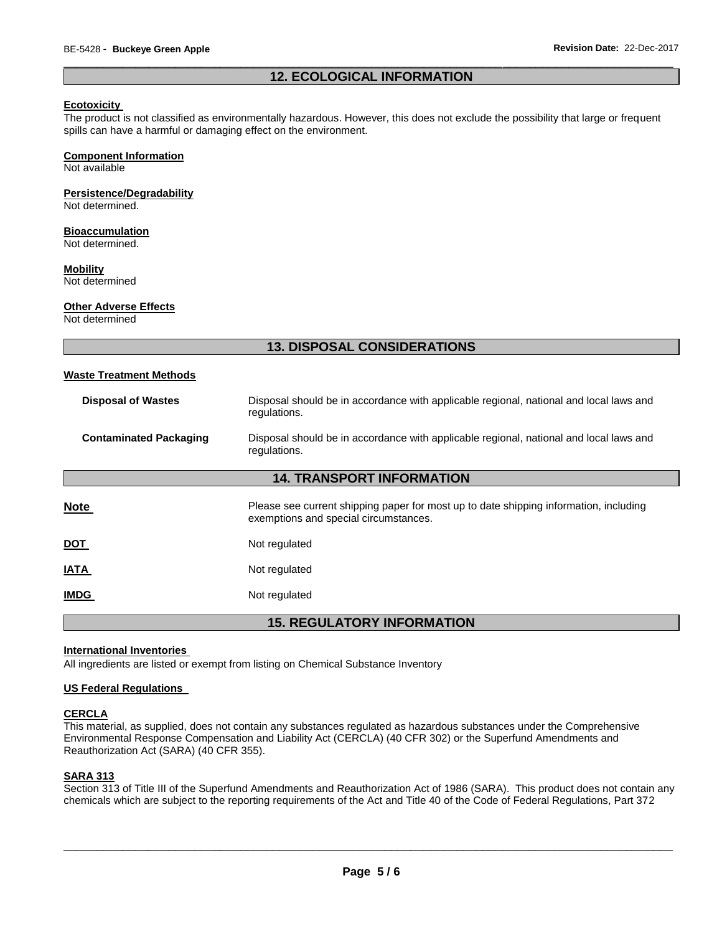## \_\_\_\_\_\_\_\_\_\_\_\_\_\_\_\_\_\_\_\_\_\_\_\_\_\_\_\_\_\_\_\_\_\_\_\_\_\_\_\_\_\_\_\_\_\_\_\_\_\_\_\_\_\_\_\_\_\_\_\_\_\_\_\_\_\_\_\_\_\_\_\_\_\_\_\_\_\_\_\_\_\_\_\_\_\_\_\_\_\_\_\_\_ **12. ECOLOGICAL INFORMATION**

### **Ecotoxicity**

The product is not classified as environmentally hazardous. However, this does not exclude the possibility that large or frequent spills can have a harmful or damaging effect on the environment.

# **Component Information**

Not available

## **Persistence/Degradability**

Not determined.

### **Bioaccumulation**

Not determined.

#### **Mobility**

Not determined

### **Other Adverse Effects**

Not determined

# **13. DISPOSAL CONSIDERATIONS**

#### **Waste Treatment Methods**

| <b>Disposal of Wastes</b>         | Disposal should be in accordance with applicable regional, national and local laws and<br>regulations.                         |  |  |
|-----------------------------------|--------------------------------------------------------------------------------------------------------------------------------|--|--|
| <b>Contaminated Packaging</b>     | Disposal should be in accordance with applicable regional, national and local laws and<br>regulations.                         |  |  |
| <b>14. TRANSPORT INFORMATION</b>  |                                                                                                                                |  |  |
| <b>Note</b>                       | Please see current shipping paper for most up to date shipping information, including<br>exemptions and special circumstances. |  |  |
| DOT                               | Not regulated                                                                                                                  |  |  |
| <b>ATAI</b>                       | Not regulated                                                                                                                  |  |  |
| <u>IMDG</u>                       | Not regulated                                                                                                                  |  |  |
| <b>15. REGULATORY INFORMATION</b> |                                                                                                                                |  |  |

#### **International Inventories**

All ingredients are listed or exempt from listing on Chemical Substance Inventory

## **US Federal Regulations**

## **CERCLA**

This material, as supplied, does not contain any substances regulated as hazardous substances under the Comprehensive Environmental Response Compensation and Liability Act (CERCLA) (40 CFR 302) or the Superfund Amendments and Reauthorization Act (SARA) (40 CFR 355).

# **SARA 313**

Section 313 of Title III of the Superfund Amendments and Reauthorization Act of 1986 (SARA). This product does not contain any chemicals which are subject to the reporting requirements of the Act and Title 40 of the Code of Federal Regulations, Part 372